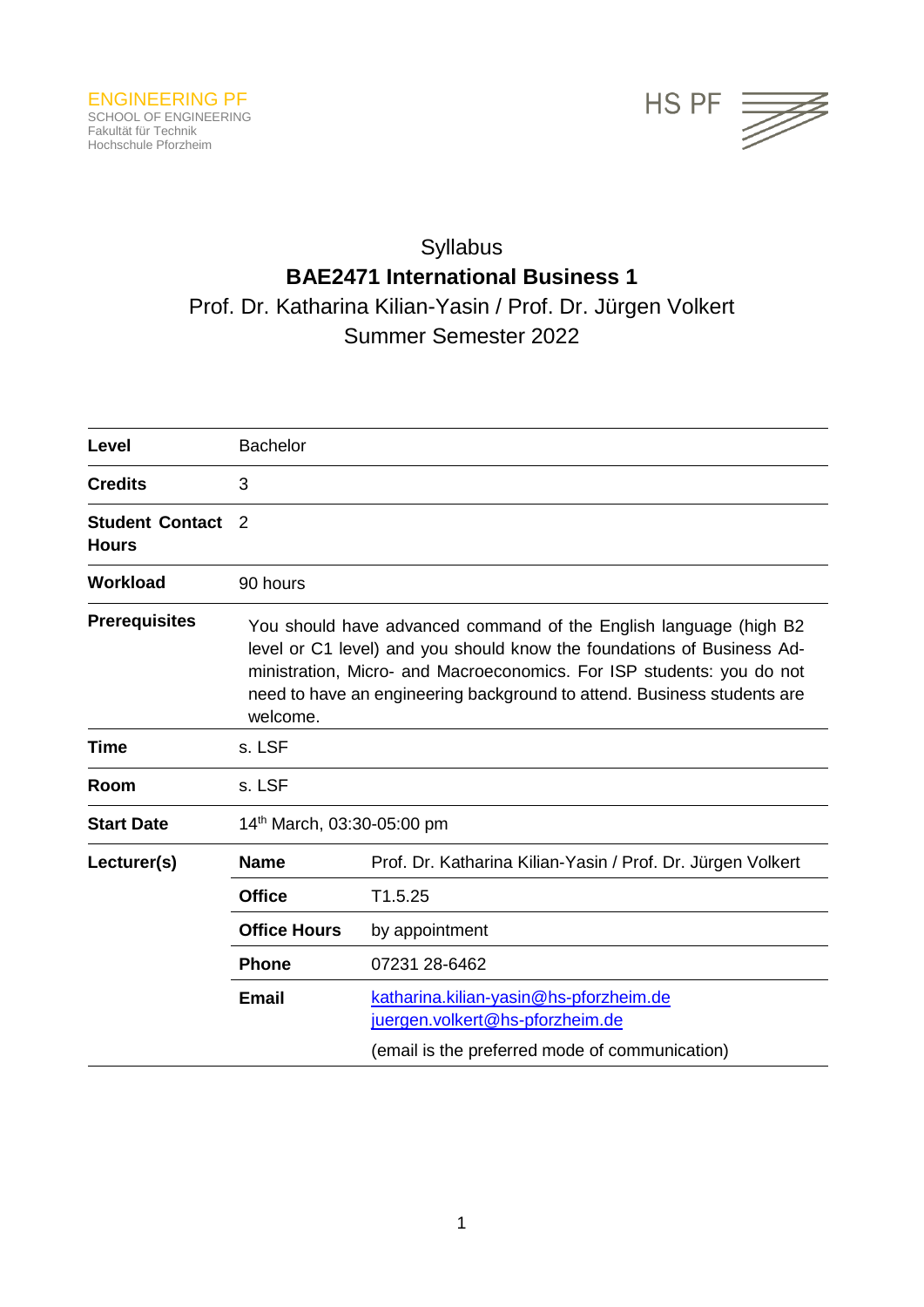

# Syllabus **BAE2471 International Business 1** Prof. Dr. Katharina Kilian-Yasin / Prof. Dr. Jürgen Volkert Summer Semester 2022

| Level                                  | <b>Bachelor</b>                                                                                                                                                                                                                                                                                              |                                                                                                                             |  |
|----------------------------------------|--------------------------------------------------------------------------------------------------------------------------------------------------------------------------------------------------------------------------------------------------------------------------------------------------------------|-----------------------------------------------------------------------------------------------------------------------------|--|
| <b>Credits</b>                         | 3                                                                                                                                                                                                                                                                                                            |                                                                                                                             |  |
| <b>Student Contact</b><br><b>Hours</b> | 2                                                                                                                                                                                                                                                                                                            |                                                                                                                             |  |
| <b>Workload</b>                        | 90 hours                                                                                                                                                                                                                                                                                                     |                                                                                                                             |  |
| <b>Prerequisites</b>                   | You should have advanced command of the English language (high B2)<br>level or C1 level) and you should know the foundations of Business Ad-<br>ministration, Micro- and Macroeconomics. For ISP students: you do not<br>need to have an engineering background to attend. Business students are<br>welcome. |                                                                                                                             |  |
| Time                                   | s. LSF                                                                                                                                                                                                                                                                                                       |                                                                                                                             |  |
| Room                                   | s. LSF                                                                                                                                                                                                                                                                                                       |                                                                                                                             |  |
| <b>Start Date</b>                      | 14th March, 03:30-05:00 pm                                                                                                                                                                                                                                                                                   |                                                                                                                             |  |
| Lecturer(s)                            | <b>Name</b>                                                                                                                                                                                                                                                                                                  | Prof. Dr. Katharina Kilian-Yasin / Prof. Dr. Jürgen Volkert                                                                 |  |
|                                        | <b>Office</b>                                                                                                                                                                                                                                                                                                | T1.5.25                                                                                                                     |  |
|                                        | <b>Office Hours</b>                                                                                                                                                                                                                                                                                          | by appointment                                                                                                              |  |
|                                        | <b>Phone</b>                                                                                                                                                                                                                                                                                                 | 07231 28-6462                                                                                                               |  |
|                                        | <b>Email</b>                                                                                                                                                                                                                                                                                                 | katharina.kilian-yasin@hs-pforzheim.de<br>juergen.volkert@hs-pforzheim.de<br>(email is the preferred mode of communication) |  |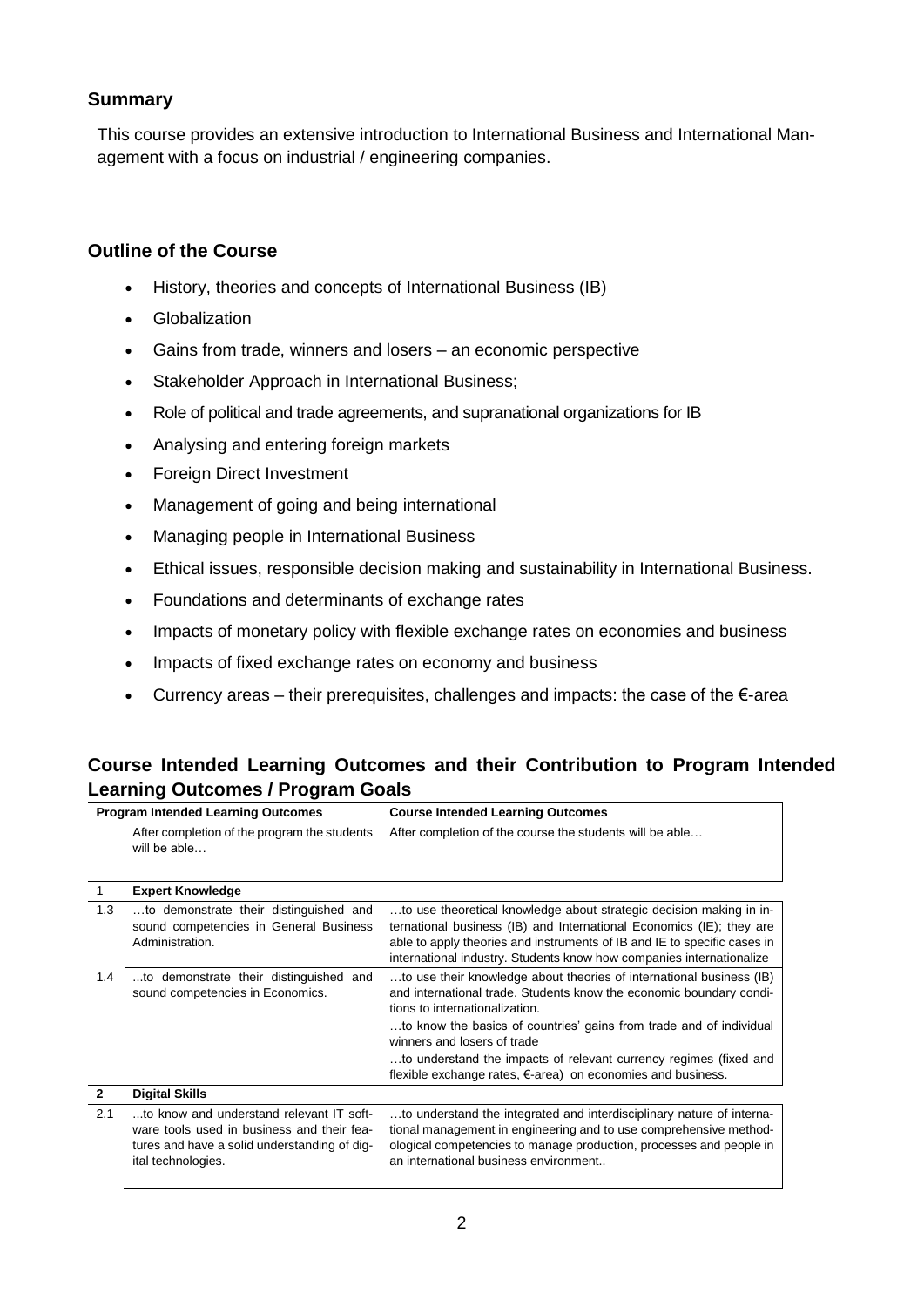# **Summary**

This course provides an extensive introduction to International Business and International Management with a focus on industrial / engineering companies.

# **Outline of the Course**

- History, theories and concepts of International Business (IB)
- Globalization
- Gains from trade, winners and losers an economic perspective
- Stakeholder Approach in International Business;
- Role of political and trade agreements, and supranational organizations for IB
- Analysing and entering foreign markets
- Foreign Direct Investment
- Management of going and being international
- Managing people in International Business
- Ethical issues, responsible decision making and sustainability in International Business.
- Foundations and determinants of exchange rates
- Impacts of monetary policy with flexible exchange rates on economies and business
- Impacts of fixed exchange rates on economy and business
- Currency areas their prerequisites, challenges and impacts: the case of the €-area

# **Course Intended Learning Outcomes and their Contribution to Program Intended Learning Outcomes / Program Goals**

| <b>Program Intended Learning Outcomes</b> |                                                                                                                                                              | <b>Course Intended Learning Outcomes</b>                                                                                                                                                                                                                                                                                                                                                                                |
|-------------------------------------------|--------------------------------------------------------------------------------------------------------------------------------------------------------------|-------------------------------------------------------------------------------------------------------------------------------------------------------------------------------------------------------------------------------------------------------------------------------------------------------------------------------------------------------------------------------------------------------------------------|
|                                           | After completion of the program the students<br>will be able                                                                                                 | After completion of the course the students will be able                                                                                                                                                                                                                                                                                                                                                                |
|                                           | <b>Expert Knowledge</b>                                                                                                                                      |                                                                                                                                                                                                                                                                                                                                                                                                                         |
| 1.3                                       | to demonstrate their distinguished and<br>sound competencies in General Business<br>Administration.                                                          | to use theoretical knowledge about strategic decision making in in-<br>ternational business (IB) and International Economics (IE); they are<br>able to apply theories and instruments of IB and IE to specific cases in<br>international industry. Students know how companies internationalize                                                                                                                         |
| 1.4                                       | to demonstrate their distinguished and<br>sound competencies in Economics.                                                                                   | to use their knowledge about theories of international business (IB)<br>and international trade. Students know the economic boundary condi-<br>tions to internationalization.<br>to know the basics of countries' gains from trade and of individual<br>winners and losers of trade<br>to understand the impacts of relevant currency regimes (fixed and<br>flexible exchange rates, €-area) on economies and business. |
| $\mathbf{2}$                              | <b>Digital Skills</b>                                                                                                                                        |                                                                                                                                                                                                                                                                                                                                                                                                                         |
| 2.1                                       | to know and understand relevant IT soft-<br>ware tools used in business and their fea-<br>tures and have a solid understanding of dig-<br>ital technologies. | to understand the integrated and interdisciplinary nature of interna-<br>tional management in engineering and to use comprehensive method-<br>ological competencies to manage production, processes and people in<br>an international business environment                                                                                                                                                              |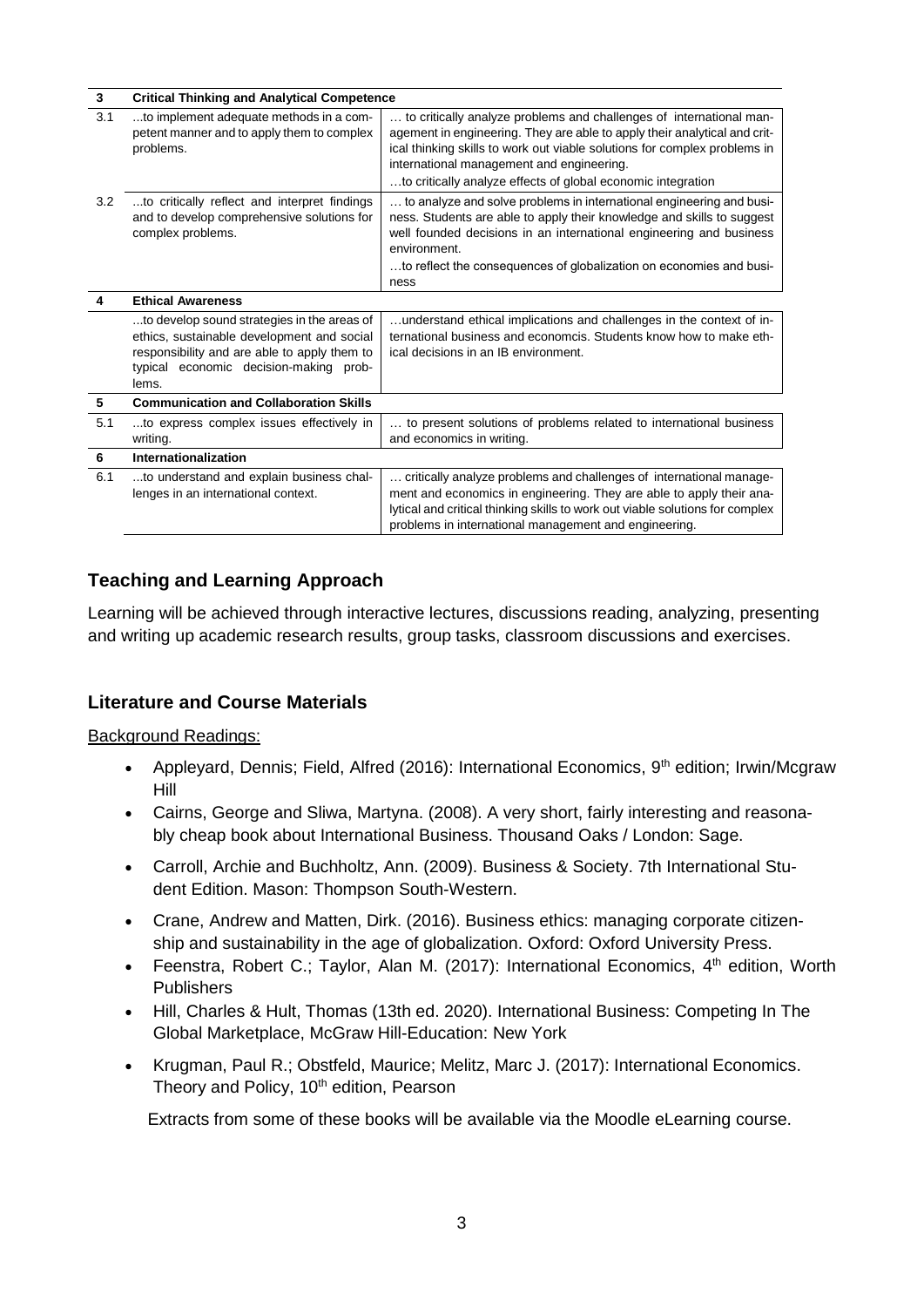| 3   | <b>Critical Thinking and Analytical Competence</b>                                                                                                                                           |                                                                                                                                                                                                                                                                                                                                            |  |  |  |
|-----|----------------------------------------------------------------------------------------------------------------------------------------------------------------------------------------------|--------------------------------------------------------------------------------------------------------------------------------------------------------------------------------------------------------------------------------------------------------------------------------------------------------------------------------------------|--|--|--|
| 3.1 | to implement adequate methods in a com-<br>petent manner and to apply them to complex<br>problems.                                                                                           | to critically analyze problems and challenges of international man-<br>agement in engineering. They are able to apply their analytical and crit-<br>ical thinking skills to work out viable solutions for complex problems in<br>international management and engineering.<br>to critically analyze effects of global economic integration |  |  |  |
| 3.2 | to critically reflect and interpret findings<br>and to develop comprehensive solutions for<br>complex problems.                                                                              | to analyze and solve problems in international engineering and busi-<br>ness. Students are able to apply their knowledge and skills to suggest<br>well founded decisions in an international engineering and business<br>environment.<br>to reflect the consequences of globalization on economies and busi-<br>ness                       |  |  |  |
| 4   | <b>Ethical Awareness</b>                                                                                                                                                                     |                                                                                                                                                                                                                                                                                                                                            |  |  |  |
|     | to develop sound strategies in the areas of<br>ethics, sustainable development and social<br>responsibility and are able to apply them to<br>typical economic decision-making prob-<br>lems. | understand ethical implications and challenges in the context of in-<br>ternational business and economics. Students know how to make eth-<br>ical decisions in an IB environment.                                                                                                                                                         |  |  |  |
| 5   | <b>Communication and Collaboration Skills</b>                                                                                                                                                |                                                                                                                                                                                                                                                                                                                                            |  |  |  |
| 5.1 | to express complex issues effectively in<br>writing.                                                                                                                                         | to present solutions of problems related to international business<br>and economics in writing.                                                                                                                                                                                                                                            |  |  |  |
| 6   | Internationalization                                                                                                                                                                         |                                                                                                                                                                                                                                                                                                                                            |  |  |  |
| 6.1 | to understand and explain business chal-<br>lenges in an international context.                                                                                                              | critically analyze problems and challenges of international manage-<br>ment and economics in engineering. They are able to apply their ana-<br>lytical and critical thinking skills to work out viable solutions for complex<br>problems in international management and engineering.                                                      |  |  |  |

# **Teaching and Learning Approach**

Learning will be achieved through interactive lectures, discussions reading, analyzing, presenting and writing up academic research results, group tasks, classroom discussions and exercises.

# **Literature and Course Materials**

Background Readings:

- Appleyard, Dennis; Field, Alfred (2016): International Economics,  $9<sup>th</sup>$  edition; Irwin/Mcgraw Hill
- Cairns, George and Sliwa, Martyna. (2008). A very short, fairly interesting and reasonably cheap book about International Business. Thousand Oaks / London: Sage.
- Carroll, Archie and Buchholtz, Ann. (2009). Business & Society. 7th International Student Edition. Mason: Thompson South-Western.
- Crane, Andrew and Matten, Dirk. (2016). Business ethics: managing corporate citizenship and sustainability in the age of globalization. Oxford: Oxford University Press.
- Feenstra, Robert C.; Taylor, Alan M. (2017): International Economics, 4<sup>th</sup> edition, Worth **Publishers**
- Hill, Charles & Hult, Thomas (13th ed. 2020). International Business: Competing In The Global Marketplace, McGraw Hill-Education: New York
- Krugman, Paul R.; Obstfeld, Maurice; Melitz, Marc J. (2017): International Economics. Theory and Policy, 10<sup>th</sup> edition, Pearson

Extracts from some of these books will be available via the Moodle eLearning course.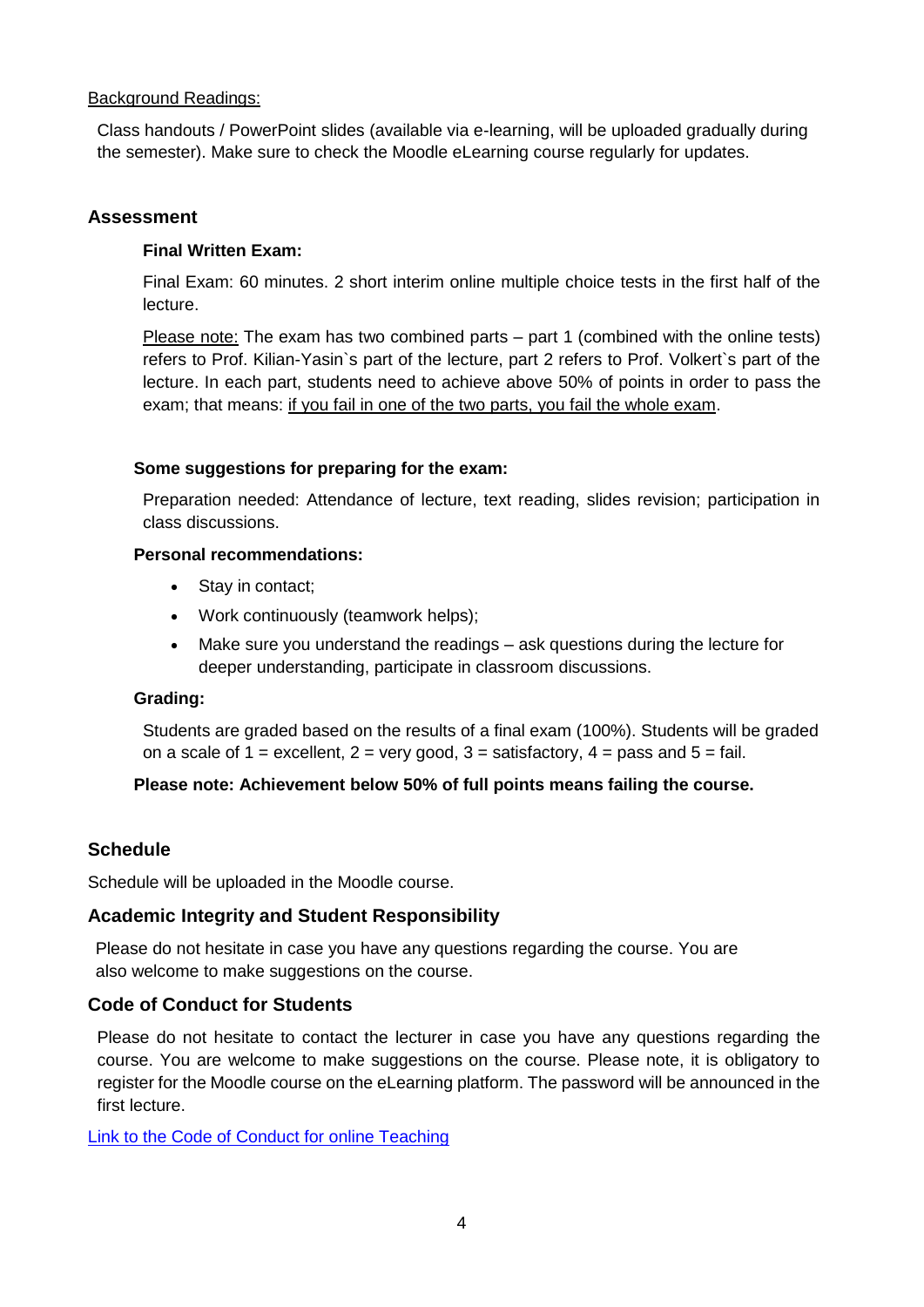#### Background Readings:

Class handouts / PowerPoint slides (available via e-learning, will be uploaded gradually during the semester). Make sure to check the Moodle eLearning course regularly for updates.

## **Assessment**

## **Final Written Exam:**

Final Exam: 60 minutes. 2 short interim online multiple choice tests in the first half of the lecture.

Please note: The exam has two combined parts – part 1 (combined with the online tests) refers to Prof. Kilian-Yasin`s part of the lecture, part 2 refers to Prof. Volkert`s part of the lecture. In each part, students need to achieve above 50% of points in order to pass the exam; that means: if you fail in one of the two parts, you fail the whole exam.

#### **Some suggestions for preparing for the exam:**

Preparation needed: Attendance of lecture, text reading, slides revision; participation in class discussions.

# **Personal recommendations:**

- Stay in contact;
- Work continuously (teamwork helps);
- Make sure you understand the readings ask questions during the lecture for deeper understanding, participate in classroom discussions.

#### **Grading:**

Students are graded based on the results of a final exam (100%). Students will be graded on a scale of  $1 =$  excellent,  $2 =$  very good,  $3 =$  satisfactory,  $4 =$  pass and  $5 =$  fail.

#### **Please note: Achievement below 50% of full points means failing the course.**

#### **Schedule**

Schedule will be uploaded in the Moodle course.

# **Academic Integrity and Student Responsibility**

Please do not hesitate in case you have any questions regarding the course. You are also welcome to make suggestions on the course.

# **Code of Conduct for Students**

Please do not hesitate to contact the lecturer in case you have any questions regarding the course. You are welcome to make suggestions on the course. Please note, it is obligatory to register for the Moodle course on the eLearning platform. The password will be announced in the first lecture.

[Link to the Code of Conduct for online Teaching](https://e-campus.hs-pforzheim.de/business_pf/digital_learning_tools_links)